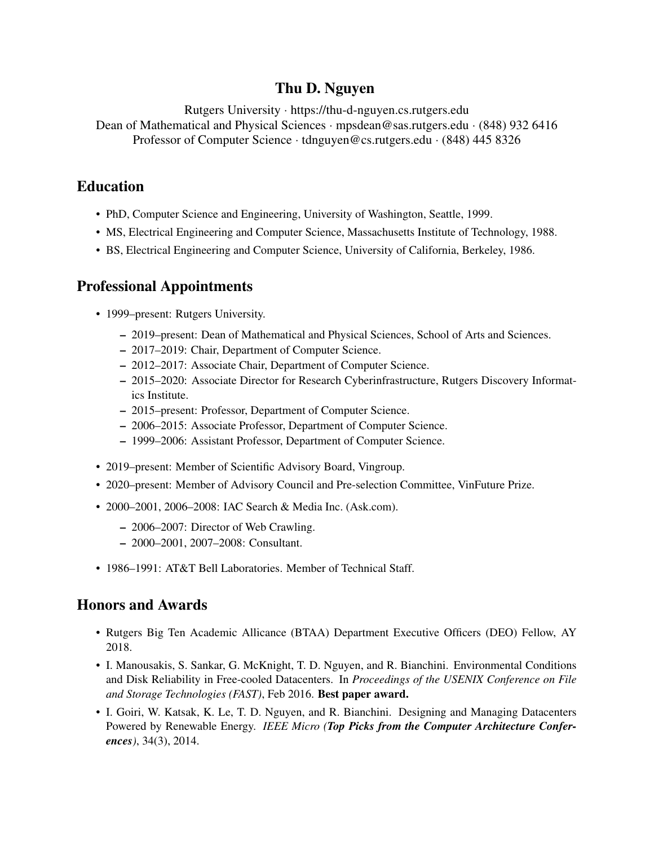# Thu D. Nguyen

Rutgers University · https://thu-d-nguyen.cs.rutgers.edu Dean of Mathematical and Physical Sciences · mpsdean@sas.rutgers.edu · (848) 932 6416 Professor of Computer Science · tdnguyen@cs.rutgers.edu · (848) 445 8326

## Education

- PhD, Computer Science and Engineering, University of Washington, Seattle, 1999.
- MS, Electrical Engineering and Computer Science, Massachusetts Institute of Technology, 1988.
- BS, Electrical Engineering and Computer Science, University of California, Berkeley, 1986.

# Professional Appointments

- 1999–present: Rutgers University.
	- 2019–present: Dean of Mathematical and Physical Sciences, School of Arts and Sciences.
	- 2017–2019: Chair, Department of Computer Science.
	- 2012–2017: Associate Chair, Department of Computer Science.
	- 2015–2020: Associate Director for Research Cyberinfrastructure, Rutgers Discovery Informatics Institute.
	- 2015–present: Professor, Department of Computer Science.
	- 2006–2015: Associate Professor, Department of Computer Science.
	- 1999–2006: Assistant Professor, Department of Computer Science.
- 2019–present: Member of Scientific Advisory Board, Vingroup.
- 2020–present: Member of Advisory Council and Pre-selection Committee, VinFuture Prize.
- 2000–2001, 2006–2008: IAC Search & Media Inc. (Ask.com).
	- 2006–2007: Director of Web Crawling.
	- 2000–2001, 2007–2008: Consultant.
- 1986–1991: AT&T Bell Laboratories. Member of Technical Staff.

# Honors and Awards

- Rutgers Big Ten Academic Allicance (BTAA) Department Executive Officers (DEO) Fellow, AY 2018.
- I. Manousakis, S. Sankar, G. McKnight, T. D. Nguyen, and R. Bianchini. Environmental Conditions and Disk Reliability in Free-cooled Datacenters. In *Proceedings of the USENIX Conference on File and Storage Technologies (FAST)*, Feb 2016. Best paper award.
- I. Goiri, W. Katsak, K. Le, T. D. Nguyen, and R. Bianchini. Designing and Managing Datacenters Powered by Renewable Energy. *IEEE Micro (Top Picks from the Computer Architecture Conferences)*, 34(3), 2014.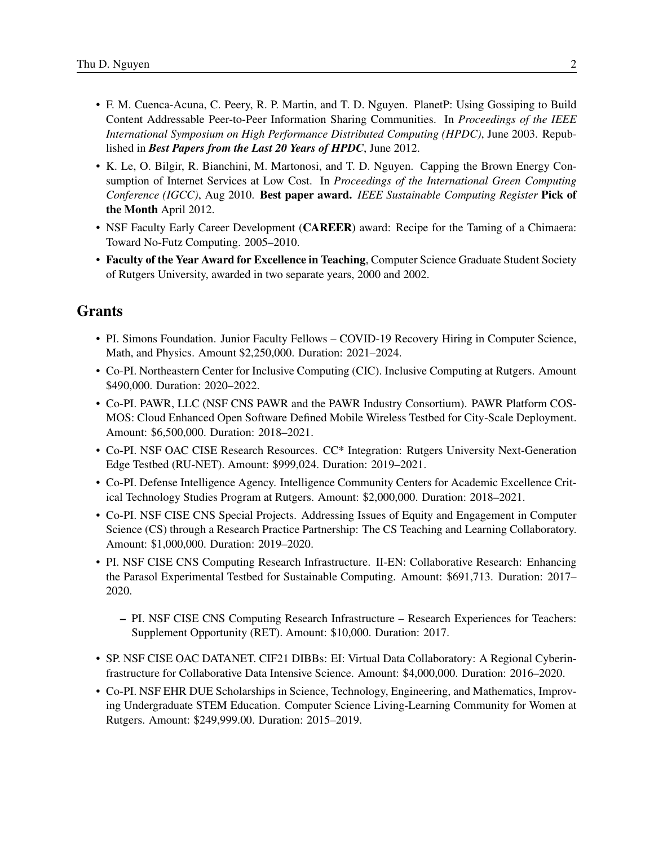- F. M. Cuenca-Acuna, C. Peery, R. P. Martin, and T. D. Nguyen. PlanetP: Using Gossiping to Build Content Addressable Peer-to-Peer Information Sharing Communities. In *Proceedings of the IEEE International Symposium on High Performance Distributed Computing (HPDC)*, June 2003. Republished in *Best Papers from the Last 20 Years of HPDC*, June 2012.
- K. Le, O. Bilgir, R. Bianchini, M. Martonosi, and T. D. Nguyen. Capping the Brown Energy Consumption of Internet Services at Low Cost. In *Proceedings of the International Green Computing Conference (IGCC)*, Aug 2010. Best paper award. *IEEE Sustainable Computing Register* Pick of the Month April 2012.
- NSF Faculty Early Career Development (CAREER) award: Recipe for the Taming of a Chimaera: Toward No-Futz Computing. 2005–2010.
- Faculty of the Year Award for Excellence in Teaching, Computer Science Graduate Student Society of Rutgers University, awarded in two separate years, 2000 and 2002.

## Grants

- PI. Simons Foundation. Junior Faculty Fellows COVID-19 Recovery Hiring in Computer Science, Math, and Physics. Amount \$2,250,000. Duration: 2021–2024.
- Co-PI. Northeastern Center for Inclusive Computing (CIC). Inclusive Computing at Rutgers. Amount \$490,000. Duration: 2020–2022.
- Co-PI. PAWR, LLC (NSF CNS PAWR and the PAWR Industry Consortium). PAWR Platform COS-MOS: Cloud Enhanced Open Software Defined Mobile Wireless Testbed for City-Scale Deployment. Amount: \$6,500,000. Duration: 2018–2021.
- Co-PI. NSF OAC CISE Research Resources. CC\* Integration: Rutgers University Next-Generation Edge Testbed (RU-NET). Amount: \$999,024. Duration: 2019–2021.
- Co-PI. Defense Intelligence Agency. Intelligence Community Centers for Academic Excellence Critical Technology Studies Program at Rutgers. Amount: \$2,000,000. Duration: 2018–2021.
- Co-PI. NSF CISE CNS Special Projects. Addressing Issues of Equity and Engagement in Computer Science (CS) through a Research Practice Partnership: The CS Teaching and Learning Collaboratory. Amount: \$1,000,000. Duration: 2019–2020.
- PI. NSF CISE CNS Computing Research Infrastructure. II-EN: Collaborative Research: Enhancing the Parasol Experimental Testbed for Sustainable Computing. Amount: \$691,713. Duration: 2017– 2020.
	- PI. NSF CISE CNS Computing Research Infrastructure Research Experiences for Teachers: Supplement Opportunity (RET). Amount: \$10,000. Duration: 2017.
- SP. NSF CISE OAC DATANET. CIF21 DIBBs: EI: Virtual Data Collaboratory: A Regional Cyberinfrastructure for Collaborative Data Intensive Science. Amount: \$4,000,000. Duration: 2016–2020.
- Co-PI. NSF EHR DUE Scholarships in Science, Technology, Engineering, and Mathematics, Improving Undergraduate STEM Education. Computer Science Living-Learning Community for Women at Rutgers. Amount: \$249,999.00. Duration: 2015–2019.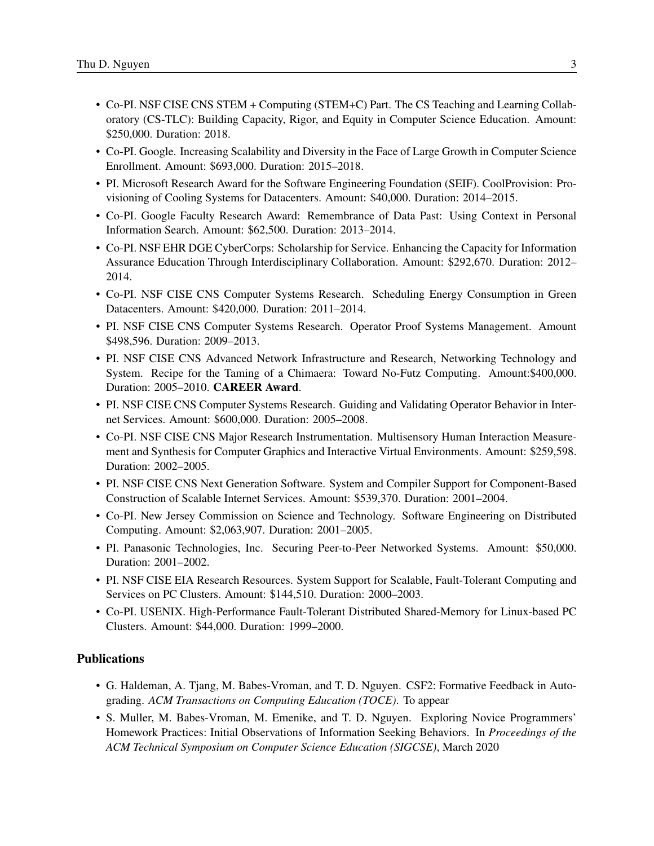- Co-PI. NSF CISE CNS STEM + Computing (STEM+C) Part. The CS Teaching and Learning Collaboratory (CS-TLC): Building Capacity, Rigor, and Equity in Computer Science Education. Amount: \$250,000. Duration: 2018.
- Co-PI. Google. Increasing Scalability and Diversity in the Face of Large Growth in Computer Science Enrollment. Amount: \$693,000. Duration: 2015–2018.
- PI. Microsoft Research Award for the Software Engineering Foundation (SEIF). CoolProvision: Provisioning of Cooling Systems for Datacenters. Amount: \$40,000. Duration: 2014–2015.
- Co-PI. Google Faculty Research Award: Remembrance of Data Past: Using Context in Personal Information Search. Amount: \$62,500. Duration: 2013–2014.
- Co-PI. NSF EHR DGE CyberCorps: Scholarship for Service. Enhancing the Capacity for Information Assurance Education Through Interdisciplinary Collaboration. Amount: \$292,670. Duration: 2012– 2014.
- Co-PI. NSF CISE CNS Computer Systems Research. Scheduling Energy Consumption in Green Datacenters. Amount: \$420,000. Duration: 2011–2014.
- PI. NSF CISE CNS Computer Systems Research. Operator Proof Systems Management. Amount \$498,596. Duration: 2009–2013.
- PI. NSF CISE CNS Advanced Network Infrastructure and Research, Networking Technology and System. Recipe for the Taming of a Chimaera: Toward No-Futz Computing. Amount:\$400,000. Duration: 2005–2010. CAREER Award.
- PI. NSF CISE CNS Computer Systems Research. Guiding and Validating Operator Behavior in Internet Services. Amount: \$600,000. Duration: 2005–2008.
- Co-PI. NSF CISE CNS Major Research Instrumentation. Multisensory Human Interaction Measurement and Synthesis for Computer Graphics and Interactive Virtual Environments. Amount: \$259,598. Duration: 2002–2005.
- PI. NSF CISE CNS Next Generation Software. System and Compiler Support for Component-Based Construction of Scalable Internet Services. Amount: \$539,370. Duration: 2001–2004.
- Co-PI. New Jersey Commission on Science and Technology. Software Engineering on Distributed Computing. Amount: \$2,063,907. Duration: 2001–2005.
- PI. Panasonic Technologies, Inc. Securing Peer-to-Peer Networked Systems. Amount: \$50,000. Duration: 2001–2002.
- PI. NSF CISE EIA Research Resources. System Support for Scalable, Fault-Tolerant Computing and Services on PC Clusters. Amount: \$144,510. Duration: 2000–2003.
- Co-PI. USENIX. High-Performance Fault-Tolerant Distributed Shared-Memory for Linux-based PC Clusters. Amount: \$44,000. Duration: 1999–2000.

### Publications

- G. Haldeman, A. Tjang, M. Babes-Vroman, and T. D. Nguyen. CSF2: Formative Feedback in Autograding. *ACM Transactions on Computing Education (TOCE)*. To appear
- S. Muller, M. Babes-Vroman, M. Emenike, and T. D. Nguyen. Exploring Novice Programmers' Homework Practices: Initial Observations of Information Seeking Behaviors. In *Proceedings of the ACM Technical Symposium on Computer Science Education (SIGCSE)*, March 2020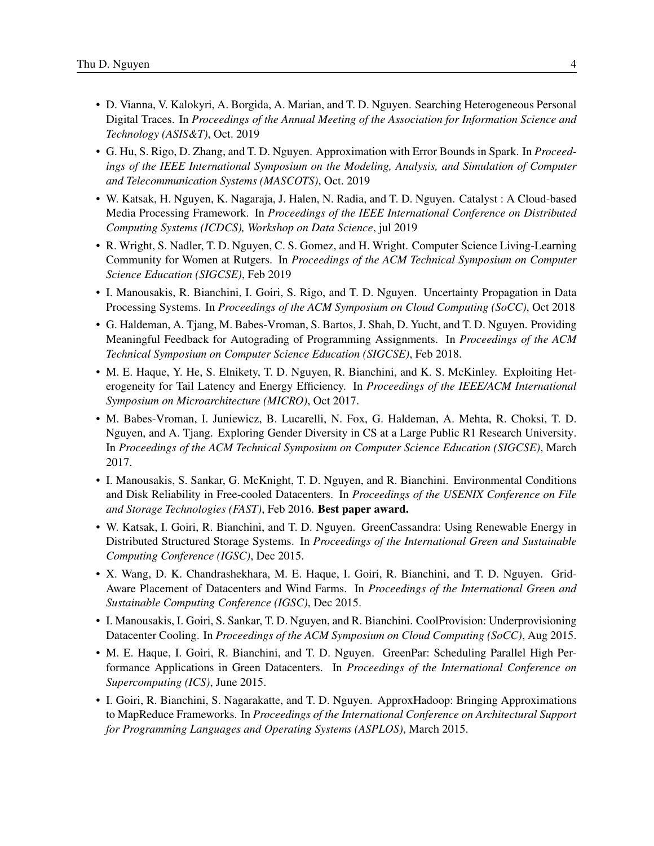- D. Vianna, V. Kalokyri, A. Borgida, A. Marian, and T. D. Nguyen. Searching Heterogeneous Personal Digital Traces. In *Proceedings of the Annual Meeting of the Association for Information Science and Technology (ASIS&T)*, Oct. 2019
- G. Hu, S. Rigo, D. Zhang, and T. D. Nguyen. Approximation with Error Bounds in Spark. In *Proceedings of the IEEE International Symposium on the Modeling, Analysis, and Simulation of Computer and Telecommunication Systems (MASCOTS)*, Oct. 2019
- W. Katsak, H. Nguyen, K. Nagaraja, J. Halen, N. Radia, and T. D. Nguyen. Catalyst : A Cloud-based Media Processing Framework. In *Proceedings of the IEEE International Conference on Distributed Computing Systems (ICDCS), Workshop on Data Science*, jul 2019
- R. Wright, S. Nadler, T. D. Nguyen, C. S. Gomez, and H. Wright. Computer Science Living-Learning Community for Women at Rutgers. In *Proceedings of the ACM Technical Symposium on Computer Science Education (SIGCSE)*, Feb 2019
- I. Manousakis, R. Bianchini, I. Goiri, S. Rigo, and T. D. Nguyen. Uncertainty Propagation in Data Processing Systems. In *Proceedings of the ACM Symposium on Cloud Computing (SoCC)*, Oct 2018
- G. Haldeman, A. Tjang, M. Babes-Vroman, S. Bartos, J. Shah, D. Yucht, and T. D. Nguyen. Providing Meaningful Feedback for Autograding of Programming Assignments. In *Proceedings of the ACM Technical Symposium on Computer Science Education (SIGCSE)*, Feb 2018.
- M. E. Haque, Y. He, S. Elnikety, T. D. Nguyen, R. Bianchini, and K. S. McKinley. Exploiting Heterogeneity for Tail Latency and Energy Efficiency. In *Proceedings of the IEEE/ACM International Symposium on Microarchitecture (MICRO)*, Oct 2017.
- M. Babes-Vroman, I. Juniewicz, B. Lucarelli, N. Fox, G. Haldeman, A. Mehta, R. Choksi, T. D. Nguyen, and A. Tjang. Exploring Gender Diversity in CS at a Large Public R1 Research University. In *Proceedings of the ACM Technical Symposium on Computer Science Education (SIGCSE)*, March 2017.
- I. Manousakis, S. Sankar, G. McKnight, T. D. Nguyen, and R. Bianchini. Environmental Conditions and Disk Reliability in Free-cooled Datacenters. In *Proceedings of the USENIX Conference on File and Storage Technologies (FAST)*, Feb 2016. Best paper award.
- W. Katsak, I. Goiri, R. Bianchini, and T. D. Nguyen. GreenCassandra: Using Renewable Energy in Distributed Structured Storage Systems. In *Proceedings of the International Green and Sustainable Computing Conference (IGSC)*, Dec 2015.
- X. Wang, D. K. Chandrashekhara, M. E. Haque, I. Goiri, R. Bianchini, and T. D. Nguyen. Grid-Aware Placement of Datacenters and Wind Farms. In *Proceedings of the International Green and Sustainable Computing Conference (IGSC)*, Dec 2015.
- I. Manousakis, I. Goiri, S. Sankar, T. D. Nguyen, and R. Bianchini. CoolProvision: Underprovisioning Datacenter Cooling. In *Proceedings of the ACM Symposium on Cloud Computing (SoCC)*, Aug 2015.
- M. E. Haque, I. Goiri, R. Bianchini, and T. D. Nguyen. GreenPar: Scheduling Parallel High Performance Applications in Green Datacenters. In *Proceedings of the International Conference on Supercomputing (ICS)*, June 2015.
- I. Goiri, R. Bianchini, S. Nagarakatte, and T. D. Nguyen. ApproxHadoop: Bringing Approximations to MapReduce Frameworks. In *Proceedings of the International Conference on Architectural Support for Programming Languages and Operating Systems (ASPLOS)*, March 2015.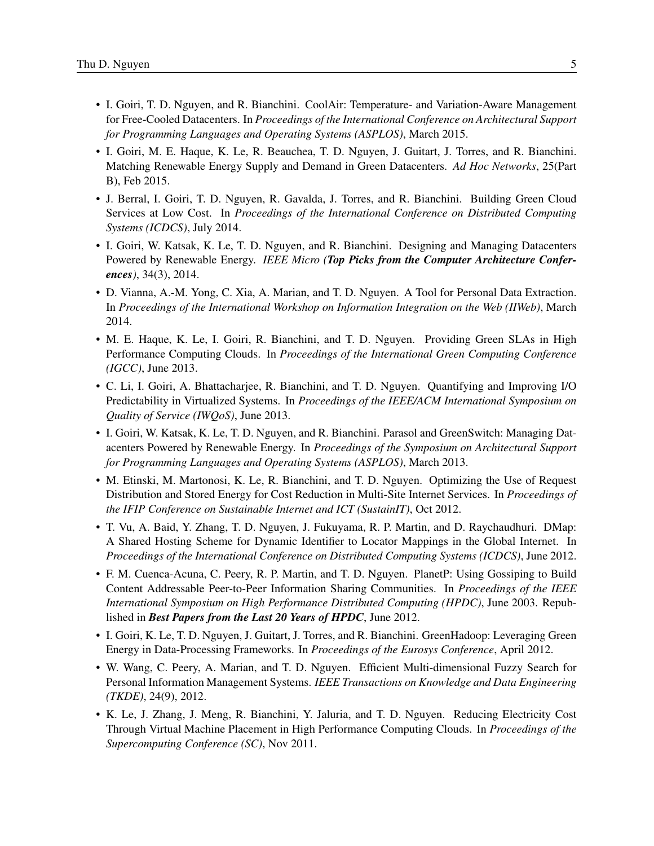- I. Goiri, T. D. Nguyen, and R. Bianchini. CoolAir: Temperature- and Variation-Aware Management for Free-Cooled Datacenters. In *Proceedings of the International Conference on Architectural Support for Programming Languages and Operating Systems (ASPLOS)*, March 2015.
- I. Goiri, M. E. Haque, K. Le, R. Beauchea, T. D. Nguyen, J. Guitart, J. Torres, and R. Bianchini. Matching Renewable Energy Supply and Demand in Green Datacenters. *Ad Hoc Networks*, 25(Part B), Feb 2015.
- J. Berral, I. Goiri, T. D. Nguyen, R. Gavalda, J. Torres, and R. Bianchini. Building Green Cloud Services at Low Cost. In *Proceedings of the International Conference on Distributed Computing Systems (ICDCS)*, July 2014.
- I. Goiri, W. Katsak, K. Le, T. D. Nguyen, and R. Bianchini. Designing and Managing Datacenters Powered by Renewable Energy. *IEEE Micro (Top Picks from the Computer Architecture Conferences)*, 34(3), 2014.
- D. Vianna, A.-M. Yong, C. Xia, A. Marian, and T. D. Nguyen. A Tool for Personal Data Extraction. In *Proceedings of the International Workshop on Information Integration on the Web (IIWeb)*, March 2014.
- M. E. Haque, K. Le, I. Goiri, R. Bianchini, and T. D. Nguyen. Providing Green SLAs in High Performance Computing Clouds. In *Proceedings of the International Green Computing Conference (IGCC)*, June 2013.
- C. Li, I. Goiri, A. Bhattacharjee, R. Bianchini, and T. D. Nguyen. Quantifying and Improving I/O Predictability in Virtualized Systems. In *Proceedings of the IEEE/ACM International Symposium on Quality of Service (IWQoS)*, June 2013.
- I. Goiri, W. Katsak, K. Le, T. D. Nguyen, and R. Bianchini. Parasol and GreenSwitch: Managing Datacenters Powered by Renewable Energy. In *Proceedings of the Symposium on Architectural Support for Programming Languages and Operating Systems (ASPLOS)*, March 2013.
- M. Etinski, M. Martonosi, K. Le, R. Bianchini, and T. D. Nguyen. Optimizing the Use of Request Distribution and Stored Energy for Cost Reduction in Multi-Site Internet Services. In *Proceedings of the IFIP Conference on Sustainable Internet and ICT (SustainIT)*, Oct 2012.
- T. Vu, A. Baid, Y. Zhang, T. D. Nguyen, J. Fukuyama, R. P. Martin, and D. Raychaudhuri. DMap: A Shared Hosting Scheme for Dynamic Identifier to Locator Mappings in the Global Internet. In *Proceedings of the International Conference on Distributed Computing Systems (ICDCS)*, June 2012.
- F. M. Cuenca-Acuna, C. Peery, R. P. Martin, and T. D. Nguyen. PlanetP: Using Gossiping to Build Content Addressable Peer-to-Peer Information Sharing Communities. In *Proceedings of the IEEE International Symposium on High Performance Distributed Computing (HPDC)*, June 2003. Republished in *Best Papers from the Last 20 Years of HPDC*, June 2012.
- I. Goiri, K. Le, T. D. Nguyen, J. Guitart, J. Torres, and R. Bianchini. GreenHadoop: Leveraging Green Energy in Data-Processing Frameworks. In *Proceedings of the Eurosys Conference*, April 2012.
- W. Wang, C. Peery, A. Marian, and T. D. Nguyen. Efficient Multi-dimensional Fuzzy Search for Personal Information Management Systems. *IEEE Transactions on Knowledge and Data Engineering (TKDE)*, 24(9), 2012.
- K. Le, J. Zhang, J. Meng, R. Bianchini, Y. Jaluria, and T. D. Nguyen. Reducing Electricity Cost Through Virtual Machine Placement in High Performance Computing Clouds. In *Proceedings of the Supercomputing Conference (SC)*, Nov 2011.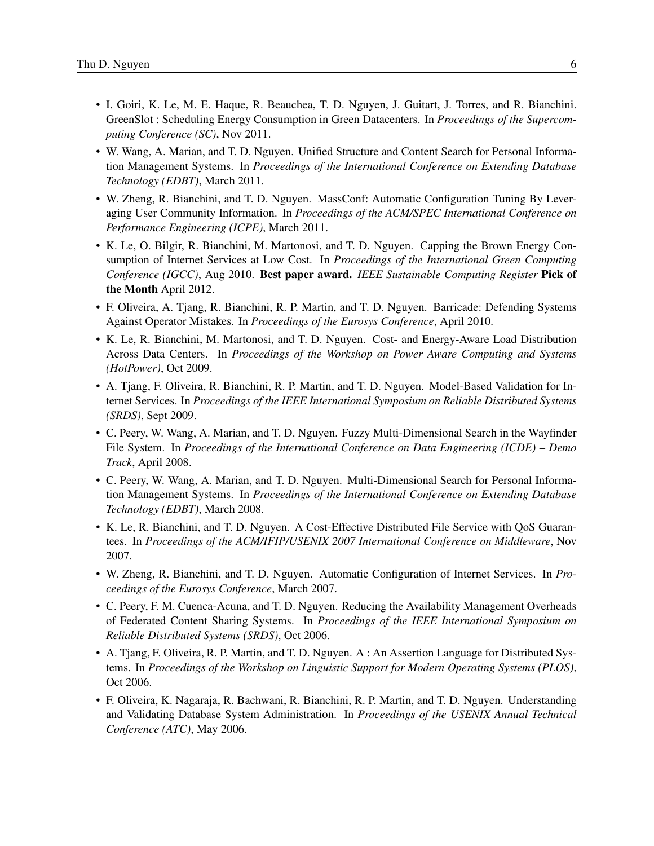- I. Goiri, K. Le, M. E. Haque, R. Beauchea, T. D. Nguyen, J. Guitart, J. Torres, and R. Bianchini. GreenSlot : Scheduling Energy Consumption in Green Datacenters. In *Proceedings of the Supercomputing Conference (SC)*, Nov 2011.
- W. Wang, A. Marian, and T. D. Nguyen. Unified Structure and Content Search for Personal Information Management Systems. In *Proceedings of the International Conference on Extending Database Technology (EDBT)*, March 2011.
- W. Zheng, R. Bianchini, and T. D. Nguyen. MassConf: Automatic Configuration Tuning By Leveraging User Community Information. In *Proceedings of the ACM/SPEC International Conference on Performance Engineering (ICPE)*, March 2011.
- K. Le, O. Bilgir, R. Bianchini, M. Martonosi, and T. D. Nguyen. Capping the Brown Energy Consumption of Internet Services at Low Cost. In *Proceedings of the International Green Computing Conference (IGCC)*, Aug 2010. Best paper award. *IEEE Sustainable Computing Register* Pick of the Month April 2012.
- F. Oliveira, A. Tjang, R. Bianchini, R. P. Martin, and T. D. Nguyen. Barricade: Defending Systems Against Operator Mistakes. In *Proceedings of the Eurosys Conference*, April 2010.
- K. Le, R. Bianchini, M. Martonosi, and T. D. Nguyen. Cost- and Energy-Aware Load Distribution Across Data Centers. In *Proceedings of the Workshop on Power Aware Computing and Systems (HotPower)*, Oct 2009.
- A. Tjang, F. Oliveira, R. Bianchini, R. P. Martin, and T. D. Nguyen. Model-Based Validation for Internet Services. In *Proceedings of the IEEE International Symposium on Reliable Distributed Systems (SRDS)*, Sept 2009.
- C. Peery, W. Wang, A. Marian, and T. D. Nguyen. Fuzzy Multi-Dimensional Search in the Wayfinder File System. In *Proceedings of the International Conference on Data Engineering (ICDE) – Demo Track*, April 2008.
- C. Peery, W. Wang, A. Marian, and T. D. Nguyen. Multi-Dimensional Search for Personal Information Management Systems. In *Proceedings of the International Conference on Extending Database Technology (EDBT)*, March 2008.
- K. Le, R. Bianchini, and T. D. Nguyen. A Cost-Effective Distributed File Service with QoS Guarantees. In *Proceedings of the ACM/IFIP/USENIX 2007 International Conference on Middleware*, Nov 2007.
- W. Zheng, R. Bianchini, and T. D. Nguyen. Automatic Configuration of Internet Services. In *Proceedings of the Eurosys Conference*, March 2007.
- C. Peery, F. M. Cuenca-Acuna, and T. D. Nguyen. Reducing the Availability Management Overheads of Federated Content Sharing Systems. In *Proceedings of the IEEE International Symposium on Reliable Distributed Systems (SRDS)*, Oct 2006.
- A. Tjang, F. Oliveira, R. P. Martin, and T. D. Nguyen. A : An Assertion Language for Distributed Systems. In *Proceedings of the Workshop on Linguistic Support for Modern Operating Systems (PLOS)*, Oct 2006.
- F. Oliveira, K. Nagaraja, R. Bachwani, R. Bianchini, R. P. Martin, and T. D. Nguyen. Understanding and Validating Database System Administration. In *Proceedings of the USENIX Annual Technical Conference (ATC)*, May 2006.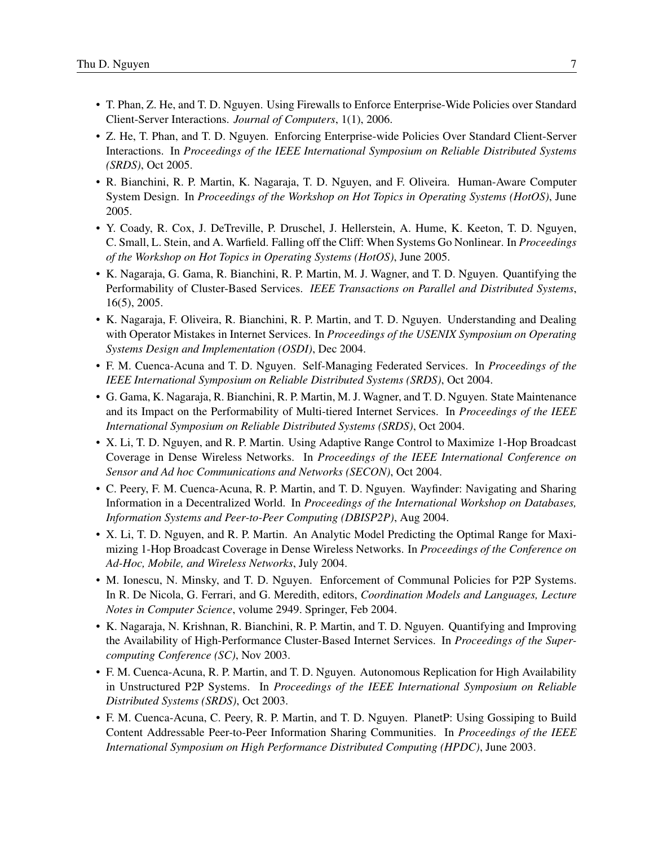- T. Phan, Z. He, and T. D. Nguyen. Using Firewalls to Enforce Enterprise-Wide Policies over Standard Client-Server Interactions. *Journal of Computers*, 1(1), 2006.
- Z. He, T. Phan, and T. D. Nguyen. Enforcing Enterprise-wide Policies Over Standard Client-Server Interactions. In *Proceedings of the IEEE International Symposium on Reliable Distributed Systems (SRDS)*, Oct 2005.
- R. Bianchini, R. P. Martin, K. Nagaraja, T. D. Nguyen, and F. Oliveira. Human-Aware Computer System Design. In *Proceedings of the Workshop on Hot Topics in Operating Systems (HotOS)*, June 2005.
- Y. Coady, R. Cox, J. DeTreville, P. Druschel, J. Hellerstein, A. Hume, K. Keeton, T. D. Nguyen, C. Small, L. Stein, and A. Warfield. Falling off the Cliff: When Systems Go Nonlinear. In *Proceedings of the Workshop on Hot Topics in Operating Systems (HotOS)*, June 2005.
- K. Nagaraja, G. Gama, R. Bianchini, R. P. Martin, M. J. Wagner, and T. D. Nguyen. Quantifying the Performability of Cluster-Based Services. *IEEE Transactions on Parallel and Distributed Systems*, 16(5), 2005.
- K. Nagaraja, F. Oliveira, R. Bianchini, R. P. Martin, and T. D. Nguyen. Understanding and Dealing with Operator Mistakes in Internet Services. In *Proceedings of the USENIX Symposium on Operating Systems Design and Implementation (OSDI)*, Dec 2004.
- F. M. Cuenca-Acuna and T. D. Nguyen. Self-Managing Federated Services. In *Proceedings of the IEEE International Symposium on Reliable Distributed Systems (SRDS)*, Oct 2004.
- G. Gama, K. Nagaraja, R. Bianchini, R. P. Martin, M. J. Wagner, and T. D. Nguyen. State Maintenance and its Impact on the Performability of Multi-tiered Internet Services. In *Proceedings of the IEEE International Symposium on Reliable Distributed Systems (SRDS)*, Oct 2004.
- X. Li, T. D. Nguyen, and R. P. Martin. Using Adaptive Range Control to Maximize 1-Hop Broadcast Coverage in Dense Wireless Networks. In *Proceedings of the IEEE International Conference on Sensor and Ad hoc Communications and Networks (SECON)*, Oct 2004.
- C. Peery, F. M. Cuenca-Acuna, R. P. Martin, and T. D. Nguyen. Wayfinder: Navigating and Sharing Information in a Decentralized World. In *Proceedings of the International Workshop on Databases, Information Systems and Peer-to-Peer Computing (DBISP2P)*, Aug 2004.
- X. Li, T. D. Nguyen, and R. P. Martin. An Analytic Model Predicting the Optimal Range for Maximizing 1-Hop Broadcast Coverage in Dense Wireless Networks. In *Proceedings of the Conference on Ad-Hoc, Mobile, and Wireless Networks*, July 2004.
- M. Ionescu, N. Minsky, and T. D. Nguyen. Enforcement of Communal Policies for P2P Systems. In R. De Nicola, G. Ferrari, and G. Meredith, editors, *Coordination Models and Languages, Lecture Notes in Computer Science*, volume 2949. Springer, Feb 2004.
- K. Nagaraja, N. Krishnan, R. Bianchini, R. P. Martin, and T. D. Nguyen. Quantifying and Improving the Availability of High-Performance Cluster-Based Internet Services. In *Proceedings of the Supercomputing Conference (SC)*, Nov 2003.
- F. M. Cuenca-Acuna, R. P. Martin, and T. D. Nguyen. Autonomous Replication for High Availability in Unstructured P2P Systems. In *Proceedings of the IEEE International Symposium on Reliable Distributed Systems (SRDS)*, Oct 2003.
- F. M. Cuenca-Acuna, C. Peery, R. P. Martin, and T. D. Nguyen. PlanetP: Using Gossiping to Build Content Addressable Peer-to-Peer Information Sharing Communities. In *Proceedings of the IEEE International Symposium on High Performance Distributed Computing (HPDC)*, June 2003.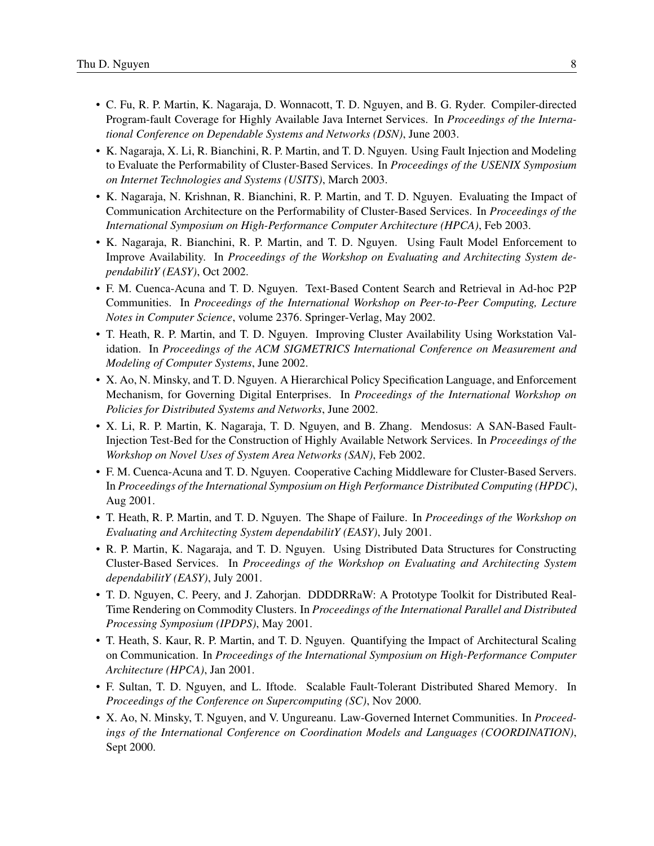- C. Fu, R. P. Martin, K. Nagaraja, D. Wonnacott, T. D. Nguyen, and B. G. Ryder. Compiler-directed Program-fault Coverage for Highly Available Java Internet Services. In *Proceedings of the International Conference on Dependable Systems and Networks (DSN)*, June 2003.
- K. Nagaraja, X. Li, R. Bianchini, R. P. Martin, and T. D. Nguyen. Using Fault Injection and Modeling to Evaluate the Performability of Cluster-Based Services. In *Proceedings of the USENIX Symposium on Internet Technologies and Systems (USITS)*, March 2003.
- K. Nagaraja, N. Krishnan, R. Bianchini, R. P. Martin, and T. D. Nguyen. Evaluating the Impact of Communication Architecture on the Performability of Cluster-Based Services. In *Proceedings of the International Symposium on High-Performance Computer Architecture (HPCA)*, Feb 2003.
- K. Nagaraja, R. Bianchini, R. P. Martin, and T. D. Nguyen. Using Fault Model Enforcement to Improve Availability. In *Proceedings of the Workshop on Evaluating and Architecting System dependabilitY (EASY)*, Oct 2002.
- F. M. Cuenca-Acuna and T. D. Nguyen. Text-Based Content Search and Retrieval in Ad-hoc P2P Communities. In *Proceedings of the International Workshop on Peer-to-Peer Computing, Lecture Notes in Computer Science*, volume 2376. Springer-Verlag, May 2002.
- T. Heath, R. P. Martin, and T. D. Nguyen. Improving Cluster Availability Using Workstation Validation. In *Proceedings of the ACM SIGMETRICS International Conference on Measurement and Modeling of Computer Systems*, June 2002.
- X. Ao, N. Minsky, and T. D. Nguyen. A Hierarchical Policy Specification Language, and Enforcement Mechanism, for Governing Digital Enterprises. In *Proceedings of the International Workshop on Policies for Distributed Systems and Networks*, June 2002.
- X. Li, R. P. Martin, K. Nagaraja, T. D. Nguyen, and B. Zhang. Mendosus: A SAN-Based Fault-Injection Test-Bed for the Construction of Highly Available Network Services. In *Proceedings of the Workshop on Novel Uses of System Area Networks (SAN)*, Feb 2002.
- F. M. Cuenca-Acuna and T. D. Nguyen. Cooperative Caching Middleware for Cluster-Based Servers. In *Proceedings of the International Symposium on High Performance Distributed Computing (HPDC)*, Aug 2001.
- T. Heath, R. P. Martin, and T. D. Nguyen. The Shape of Failure. In *Proceedings of the Workshop on Evaluating and Architecting System dependabilitY (EASY)*, July 2001.
- R. P. Martin, K. Nagaraja, and T. D. Nguyen. Using Distributed Data Structures for Constructing Cluster-Based Services. In *Proceedings of the Workshop on Evaluating and Architecting System dependabilitY (EASY)*, July 2001.
- T. D. Nguyen, C. Peery, and J. Zahorjan. DDDDRRaW: A Prototype Toolkit for Distributed Real-Time Rendering on Commodity Clusters. In *Proceedings of the International Parallel and Distributed Processing Symposium (IPDPS)*, May 2001.
- T. Heath, S. Kaur, R. P. Martin, and T. D. Nguyen. Quantifying the Impact of Architectural Scaling on Communication. In *Proceedings of the International Symposium on High-Performance Computer Architecture (HPCA)*, Jan 2001.
- F. Sultan, T. D. Nguyen, and L. Iftode. Scalable Fault-Tolerant Distributed Shared Memory. In *Proceedings of the Conference on Supercomputing (SC)*, Nov 2000.
- X. Ao, N. Minsky, T. Nguyen, and V. Ungureanu. Law-Governed Internet Communities. In *Proceedings of the International Conference on Coordination Models and Languages (COORDINATION)*, Sept 2000.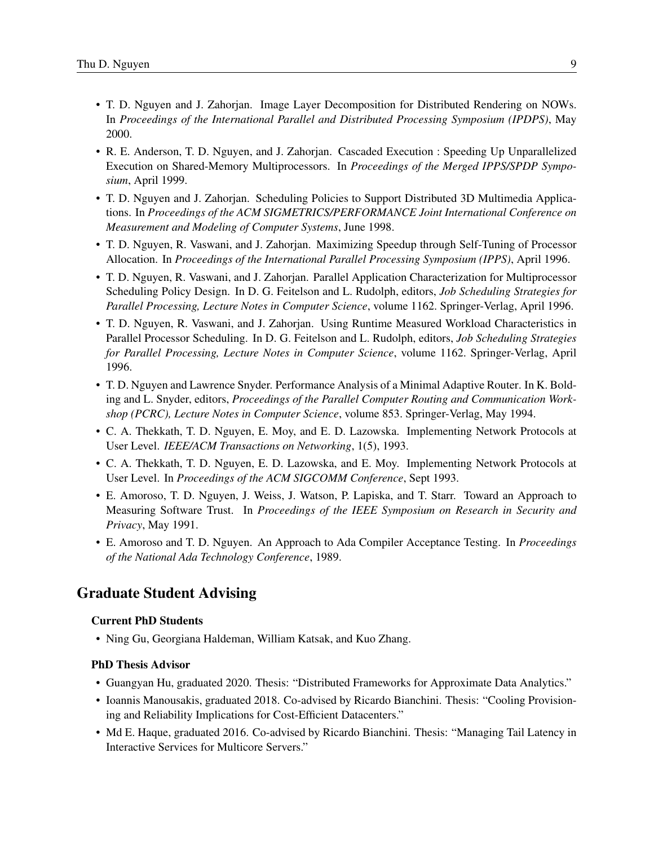- T. D. Nguyen and J. Zahorjan. Image Layer Decomposition for Distributed Rendering on NOWs. In *Proceedings of the International Parallel and Distributed Processing Symposium (IPDPS)*, May 2000.
- R. E. Anderson, T. D. Nguyen, and J. Zahorjan. Cascaded Execution : Speeding Up Unparallelized Execution on Shared-Memory Multiprocessors. In *Proceedings of the Merged IPPS/SPDP Symposium*, April 1999.
- T. D. Nguyen and J. Zahorjan. Scheduling Policies to Support Distributed 3D Multimedia Applications. In *Proceedings of the ACM SIGMETRICS/PERFORMANCE Joint International Conference on Measurement and Modeling of Computer Systems*, June 1998.
- T. D. Nguyen, R. Vaswani, and J. Zahorjan. Maximizing Speedup through Self-Tuning of Processor Allocation. In *Proceedings of the International Parallel Processing Symposium (IPPS)*, April 1996.
- T. D. Nguyen, R. Vaswani, and J. Zahorjan. Parallel Application Characterization for Multiprocessor Scheduling Policy Design. In D. G. Feitelson and L. Rudolph, editors, *Job Scheduling Strategies for Parallel Processing, Lecture Notes in Computer Science*, volume 1162. Springer-Verlag, April 1996.
- T. D. Nguyen, R. Vaswani, and J. Zahorjan. Using Runtime Measured Workload Characteristics in Parallel Processor Scheduling. In D. G. Feitelson and L. Rudolph, editors, *Job Scheduling Strategies for Parallel Processing, Lecture Notes in Computer Science*, volume 1162. Springer-Verlag, April 1996.
- T. D. Nguyen and Lawrence Snyder. Performance Analysis of a Minimal Adaptive Router. In K. Bolding and L. Snyder, editors, *Proceedings of the Parallel Computer Routing and Communication Workshop (PCRC), Lecture Notes in Computer Science*, volume 853. Springer-Verlag, May 1994.
- C. A. Thekkath, T. D. Nguyen, E. Moy, and E. D. Lazowska. Implementing Network Protocols at User Level. *IEEE/ACM Transactions on Networking*, 1(5), 1993.
- C. A. Thekkath, T. D. Nguyen, E. D. Lazowska, and E. Moy. Implementing Network Protocols at User Level. In *Proceedings of the ACM SIGCOMM Conference*, Sept 1993.
- E. Amoroso, T. D. Nguyen, J. Weiss, J. Watson, P. Lapiska, and T. Starr. Toward an Approach to Measuring Software Trust. In *Proceedings of the IEEE Symposium on Research in Security and Privacy*, May 1991.
- E. Amoroso and T. D. Nguyen. An Approach to Ada Compiler Acceptance Testing. In *Proceedings of the National Ada Technology Conference*, 1989.

### Graduate Student Advising

### Current PhD Students

• Ning Gu, Georgiana Haldeman, William Katsak, and Kuo Zhang.

### PhD Thesis Advisor

- Guangyan Hu, graduated 2020. Thesis: "Distributed Frameworks for Approximate Data Analytics."
- Ioannis Manousakis, graduated 2018. Co-advised by Ricardo Bianchini. Thesis: "Cooling Provisioning and Reliability Implications for Cost-Efficient Datacenters."
- Md E. Haque, graduated 2016. Co-advised by Ricardo Bianchini. Thesis: "Managing Tail Latency in Interactive Services for Multicore Servers."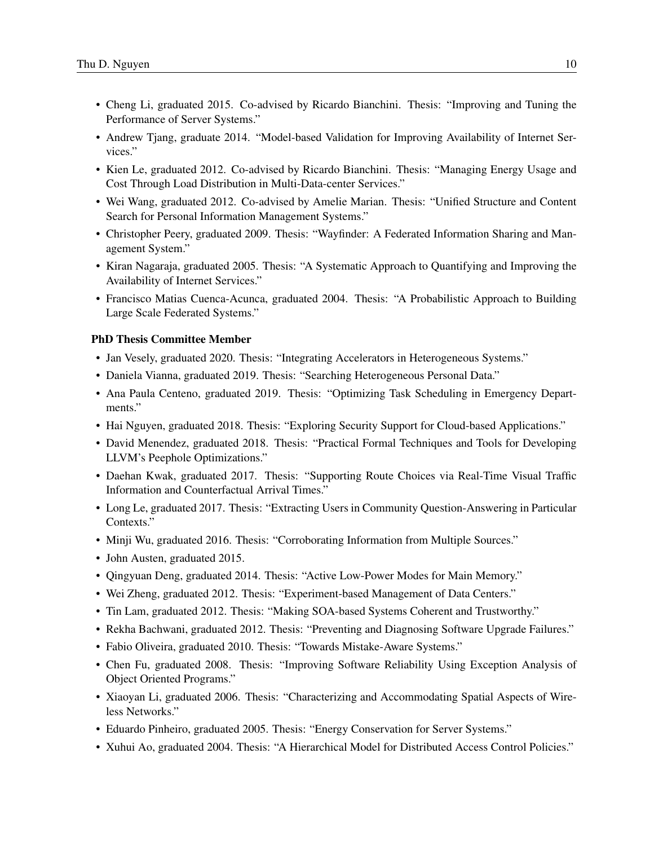- Cheng Li, graduated 2015. Co-advised by Ricardo Bianchini. Thesis: "Improving and Tuning the Performance of Server Systems."
- Andrew Tjang, graduate 2014. "Model-based Validation for Improving Availability of Internet Services."
- Kien Le, graduated 2012. Co-advised by Ricardo Bianchini. Thesis: "Managing Energy Usage and Cost Through Load Distribution in Multi-Data-center Services."
- Wei Wang, graduated 2012. Co-advised by Amelie Marian. Thesis: "Unified Structure and Content Search for Personal Information Management Systems."
- Christopher Peery, graduated 2009. Thesis: "Wayfinder: A Federated Information Sharing and Management System."
- Kiran Nagaraja, graduated 2005. Thesis: "A Systematic Approach to Quantifying and Improving the Availability of Internet Services."
- Francisco Matias Cuenca-Acunca, graduated 2004. Thesis: "A Probabilistic Approach to Building Large Scale Federated Systems."

#### PhD Thesis Committee Member

- Jan Vesely, graduated 2020. Thesis: "Integrating Accelerators in Heterogeneous Systems."
- Daniela Vianna, graduated 2019. Thesis: "Searching Heterogeneous Personal Data."
- Ana Paula Centeno, graduated 2019. Thesis: "Optimizing Task Scheduling in Emergency Departments."
- Hai Nguyen, graduated 2018. Thesis: "Exploring Security Support for Cloud-based Applications."
- David Menendez, graduated 2018. Thesis: "Practical Formal Techniques and Tools for Developing LLVM's Peephole Optimizations."
- Daehan Kwak, graduated 2017. Thesis: "Supporting Route Choices via Real-Time Visual Traffic Information and Counterfactual Arrival Times."
- Long Le, graduated 2017. Thesis: "Extracting Users in Community Question-Answering in Particular Contexts."
- Minji Wu, graduated 2016. Thesis: "Corroborating Information from Multiple Sources."
- John Austen, graduated 2015.
- Qingyuan Deng, graduated 2014. Thesis: "Active Low-Power Modes for Main Memory."
- Wei Zheng, graduated 2012. Thesis: "Experiment-based Management of Data Centers."
- Tin Lam, graduated 2012. Thesis: "Making SOA-based Systems Coherent and Trustworthy."
- Rekha Bachwani, graduated 2012. Thesis: "Preventing and Diagnosing Software Upgrade Failures."
- Fabio Oliveira, graduated 2010. Thesis: "Towards Mistake-Aware Systems."
- Chen Fu, graduated 2008. Thesis: "Improving Software Reliability Using Exception Analysis of Object Oriented Programs."
- Xiaoyan Li, graduated 2006. Thesis: "Characterizing and Accommodating Spatial Aspects of Wireless Networks."
- Eduardo Pinheiro, graduated 2005. Thesis: "Energy Conservation for Server Systems."
- Xuhui Ao, graduated 2004. Thesis: "A Hierarchical Model for Distributed Access Control Policies."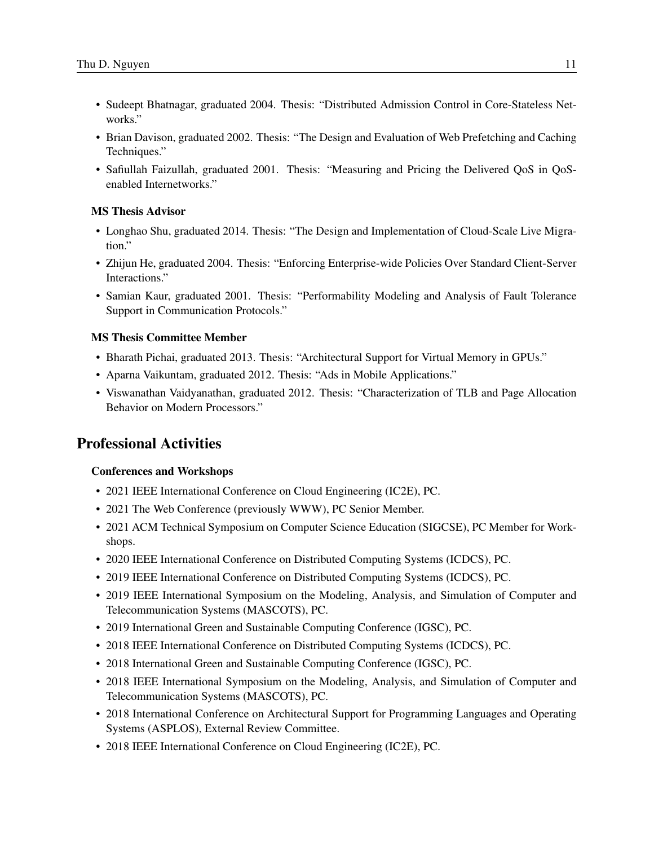- Sudeept Bhatnagar, graduated 2004. Thesis: "Distributed Admission Control in Core-Stateless Networks."
- Brian Davison, graduated 2002. Thesis: "The Design and Evaluation of Web Prefetching and Caching Techniques."
- Safiullah Faizullah, graduated 2001. Thesis: "Measuring and Pricing the Delivered QoS in QoSenabled Internetworks."

#### MS Thesis Advisor

- Longhao Shu, graduated 2014. Thesis: "The Design and Implementation of Cloud-Scale Live Migration."
- Zhijun He, graduated 2004. Thesis: "Enforcing Enterprise-wide Policies Over Standard Client-Server Interactions."
- Samian Kaur, graduated 2001. Thesis: "Performability Modeling and Analysis of Fault Tolerance Support in Communication Protocols."

#### MS Thesis Committee Member

- Bharath Pichai, graduated 2013. Thesis: "Architectural Support for Virtual Memory in GPUs."
- Aparna Vaikuntam, graduated 2012. Thesis: "Ads in Mobile Applications."
- Viswanathan Vaidyanathan, graduated 2012. Thesis: "Characterization of TLB and Page Allocation Behavior on Modern Processors."

### Professional Activities

#### Conferences and Workshops

- 2021 IEEE International Conference on Cloud Engineering (IC2E), PC.
- 2021 The Web Conference (previously WWW), PC Senior Member.
- 2021 ACM Technical Symposium on Computer Science Education (SIGCSE), PC Member for Workshops.
- 2020 IEEE International Conference on Distributed Computing Systems (ICDCS), PC.
- 2019 IEEE International Conference on Distributed Computing Systems (ICDCS), PC.
- 2019 IEEE International Symposium on the Modeling, Analysis, and Simulation of Computer and Telecommunication Systems (MASCOTS), PC.
- 2019 International Green and Sustainable Computing Conference (IGSC), PC.
- 2018 IEEE International Conference on Distributed Computing Systems (ICDCS), PC.
- 2018 International Green and Sustainable Computing Conference (IGSC), PC.
- 2018 IEEE International Symposium on the Modeling, Analysis, and Simulation of Computer and Telecommunication Systems (MASCOTS), PC.
- 2018 International Conference on Architectural Support for Programming Languages and Operating Systems (ASPLOS), External Review Committee.
- 2018 IEEE International Conference on Cloud Engineering (IC2E), PC.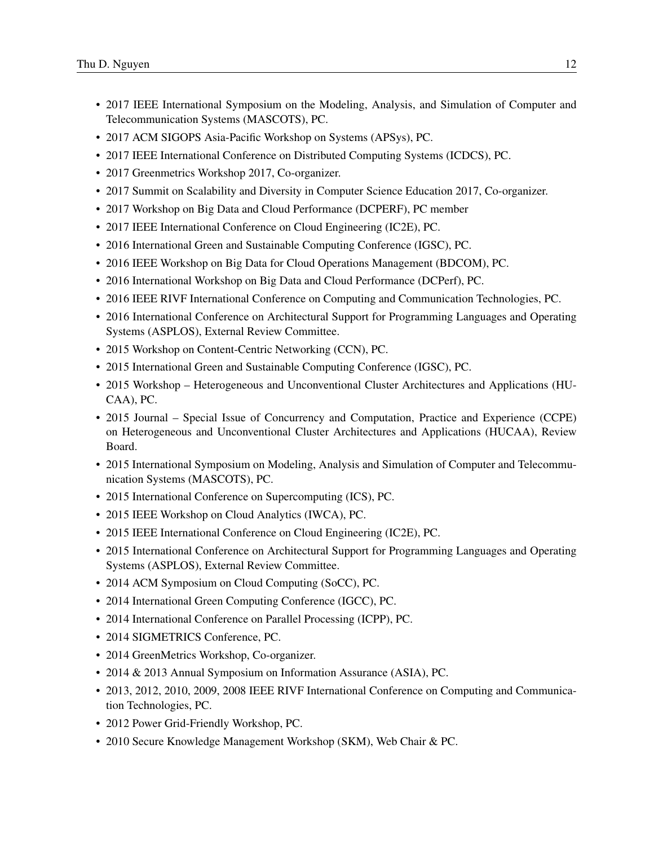- 2017 IEEE International Symposium on the Modeling, Analysis, and Simulation of Computer and Telecommunication Systems (MASCOTS), PC.
- 2017 ACM SIGOPS Asia-Pacific Workshop on Systems (APSys), PC.
- 2017 IEEE International Conference on Distributed Computing Systems (ICDCS), PC.
- 2017 Greenmetrics Workshop 2017, Co-organizer.
- 2017 Summit on Scalability and Diversity in Computer Science Education 2017, Co-organizer.
- 2017 Workshop on Big Data and Cloud Performance (DCPERF), PC member
- 2017 IEEE International Conference on Cloud Engineering (IC2E), PC.
- 2016 International Green and Sustainable Computing Conference (IGSC), PC.
- 2016 IEEE Workshop on Big Data for Cloud Operations Management (BDCOM), PC.
- 2016 International Workshop on Big Data and Cloud Performance (DCPerf), PC.
- 2016 IEEE RIVF International Conference on Computing and Communication Technologies, PC.
- 2016 International Conference on Architectural Support for Programming Languages and Operating Systems (ASPLOS), External Review Committee.
- 2015 Workshop on Content-Centric Networking (CCN), PC.
- 2015 International Green and Sustainable Computing Conference (IGSC), PC.
- 2015 Workshop Heterogeneous and Unconventional Cluster Architectures and Applications (HU-CAA), PC.
- 2015 Journal Special Issue of Concurrency and Computation, Practice and Experience (CCPE) on Heterogeneous and Unconventional Cluster Architectures and Applications (HUCAA), Review Board.
- 2015 International Symposium on Modeling, Analysis and Simulation of Computer and Telecommunication Systems (MASCOTS), PC.
- 2015 International Conference on Supercomputing (ICS), PC.
- 2015 IEEE Workshop on Cloud Analytics (IWCA), PC.
- 2015 IEEE International Conference on Cloud Engineering (IC2E), PC.
- 2015 International Conference on Architectural Support for Programming Languages and Operating Systems (ASPLOS), External Review Committee.
- 2014 ACM Symposium on Cloud Computing (SoCC), PC.
- 2014 International Green Computing Conference (IGCC), PC.
- 2014 International Conference on Parallel Processing (ICPP), PC.
- 2014 SIGMETRICS Conference, PC.
- 2014 GreenMetrics Workshop, Co-organizer.
- 2014 & 2013 Annual Symposium on Information Assurance (ASIA), PC.
- 2013, 2012, 2010, 2009, 2008 IEEE RIVF International Conference on Computing and Communication Technologies, PC.
- 2012 Power Grid-Friendly Workshop, PC.
- 2010 Secure Knowledge Management Workshop (SKM), Web Chair & PC.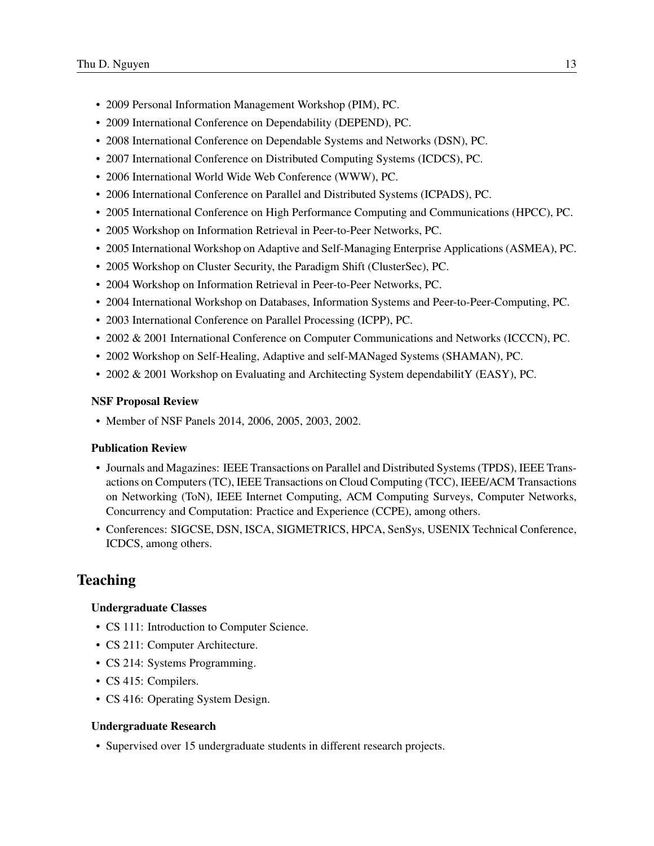- 2009 Personal Information Management Workshop (PIM), PC.
- 2009 International Conference on Dependability (DEPEND), PC.
- 2008 International Conference on Dependable Systems and Networks (DSN), PC.
- 2007 International Conference on Distributed Computing Systems (ICDCS), PC.
- 2006 International World Wide Web Conference (WWW), PC.
- 2006 International Conference on Parallel and Distributed Systems (ICPADS), PC.
- 2005 International Conference on High Performance Computing and Communications (HPCC), PC.
- 2005 Workshop on Information Retrieval in Peer-to-Peer Networks, PC.
- 2005 International Workshop on Adaptive and Self-Managing Enterprise Applications (ASMEA), PC.
- 2005 Workshop on Cluster Security, the Paradigm Shift (ClusterSec), PC.
- 2004 Workshop on Information Retrieval in Peer-to-Peer Networks, PC.
- 2004 International Workshop on Databases, Information Systems and Peer-to-Peer-Computing, PC.
- 2003 International Conference on Parallel Processing (ICPP), PC.
- 2002 & 2001 International Conference on Computer Communications and Networks (ICCCN), PC.
- 2002 Workshop on Self-Healing, Adaptive and self-MANaged Systems (SHAMAN), PC.
- 2002 & 2001 Workshop on Evaluating and Architecting System dependabilitY (EASY), PC.

#### NSF Proposal Review

• Member of NSF Panels 2014, 2006, 2005, 2003, 2002.

#### Publication Review

- Journals and Magazines: IEEE Transactions on Parallel and Distributed Systems (TPDS), IEEE Transactions on Computers (TC), IEEE Transactions on Cloud Computing (TCC), IEEE/ACM Transactions on Networking (ToN), IEEE Internet Computing, ACM Computing Surveys, Computer Networks, Concurrency and Computation: Practice and Experience (CCPE), among others.
- Conferences: SIGCSE, DSN, ISCA, SIGMETRICS, HPCA, SenSys, USENIX Technical Conference, ICDCS, among others.

## Teaching

#### Undergraduate Classes

- CS 111: Introduction to Computer Science.
- CS 211: Computer Architecture.
- CS 214: Systems Programming.
- CS 415: Compilers.
- CS 416: Operating System Design.

#### Undergraduate Research

• Supervised over 15 undergraduate students in different research projects.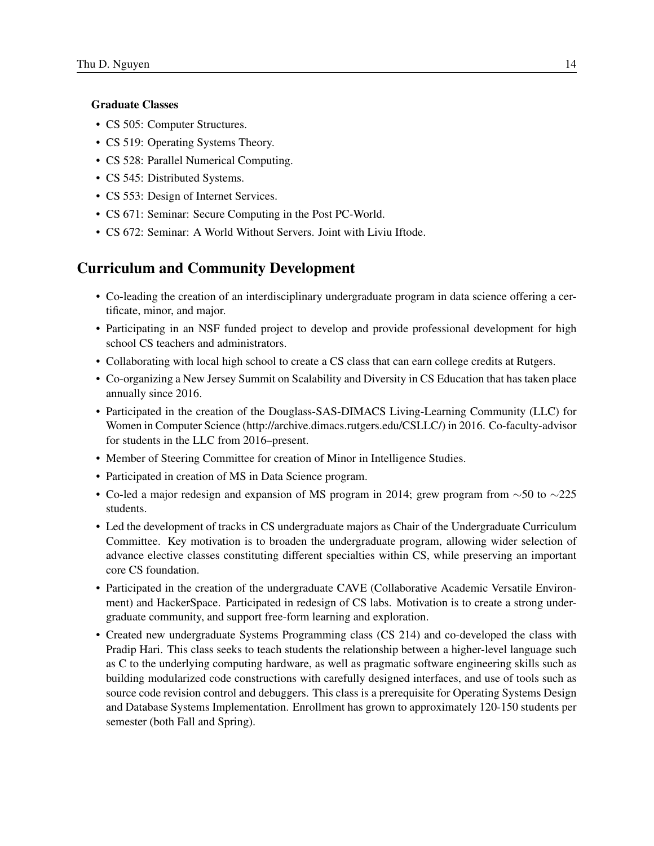#### Graduate Classes

- CS 505: Computer Structures.
- CS 519: Operating Systems Theory.
- CS 528: Parallel Numerical Computing.
- CS 545: Distributed Systems.
- CS 553: Design of Internet Services.
- CS 671: Seminar: Secure Computing in the Post PC-World.
- CS 672: Seminar: A World Without Servers. Joint with Liviu Iftode.

## Curriculum and Community Development

- Co-leading the creation of an interdisciplinary undergraduate program in data science offering a certificate, minor, and major.
- Participating in an NSF funded project to develop and provide professional development for high school CS teachers and administrators.
- Collaborating with local high school to create a CS class that can earn college credits at Rutgers.
- Co-organizing a New Jersey Summit on Scalability and Diversity in CS Education that has taken place annually since 2016.
- Participated in the creation of the Douglass-SAS-DIMACS Living-Learning Community (LLC) for Women in Computer Science (http://archive.dimacs.rutgers.edu/CSLLC/) in 2016. Co-faculty-advisor for students in the LLC from 2016–present.
- Member of Steering Committee for creation of Minor in Intelligence Studies.
- Participated in creation of MS in Data Science program.
- Co-led a major redesign and expansion of MS program in 2014; grew program from  $\sim$ 50 to  $\sim$ 225 students.
- Led the development of tracks in CS undergraduate majors as Chair of the Undergraduate Curriculum Committee. Key motivation is to broaden the undergraduate program, allowing wider selection of advance elective classes constituting different specialties within CS, while preserving an important core CS foundation.
- Participated in the creation of the undergraduate CAVE (Collaborative Academic Versatile Environment) and HackerSpace. Participated in redesign of CS labs. Motivation is to create a strong undergraduate community, and support free-form learning and exploration.
- Created new undergraduate Systems Programming class (CS 214) and co-developed the class with Pradip Hari. This class seeks to teach students the relationship between a higher-level language such as C to the underlying computing hardware, as well as pragmatic software engineering skills such as building modularized code constructions with carefully designed interfaces, and use of tools such as source code revision control and debuggers. This class is a prerequisite for Operating Systems Design and Database Systems Implementation. Enrollment has grown to approximately 120-150 students per semester (both Fall and Spring).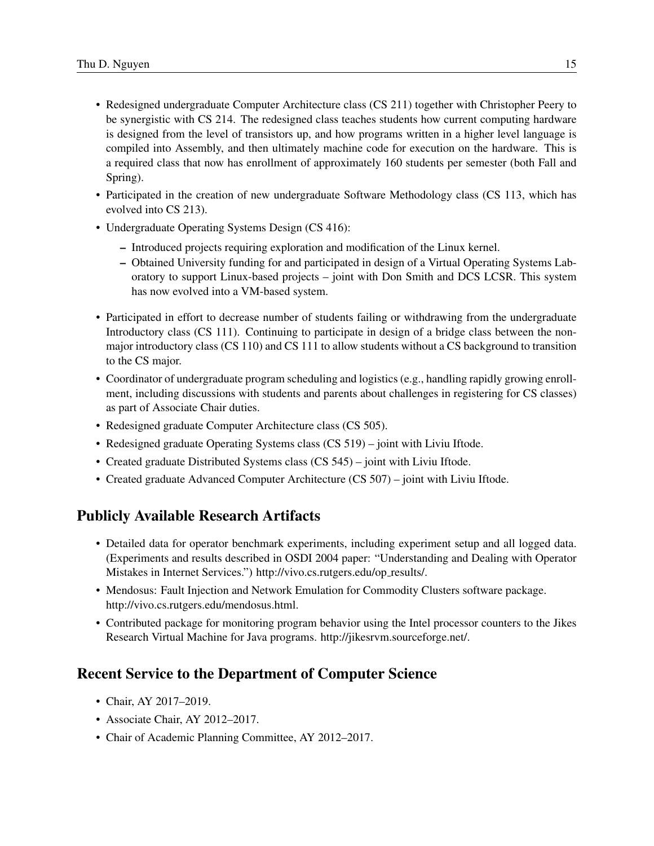- Redesigned undergraduate Computer Architecture class (CS 211) together with Christopher Peery to be synergistic with CS 214. The redesigned class teaches students how current computing hardware is designed from the level of transistors up, and how programs written in a higher level language is compiled into Assembly, and then ultimately machine code for execution on the hardware. This is a required class that now has enrollment of approximately 160 students per semester (both Fall and Spring).
- Participated in the creation of new undergraduate Software Methodology class (CS 113, which has evolved into CS 213).
- Undergraduate Operating Systems Design (CS 416):
	- Introduced projects requiring exploration and modification of the Linux kernel.
	- Obtained University funding for and participated in design of a Virtual Operating Systems Laboratory to support Linux-based projects – joint with Don Smith and DCS LCSR. This system has now evolved into a VM-based system.
- Participated in effort to decrease number of students failing or withdrawing from the undergraduate Introductory class (CS 111). Continuing to participate in design of a bridge class between the nonmajor introductory class (CS 110) and CS 111 to allow students without a CS background to transition to the CS major.
- Coordinator of undergraduate program scheduling and logistics (e.g., handling rapidly growing enrollment, including discussions with students and parents about challenges in registering for CS classes) as part of Associate Chair duties.
- Redesigned graduate Computer Architecture class (CS 505).
- Redesigned graduate Operating Systems class (CS 519) joint with Liviu Iftode.
- Created graduate Distributed Systems class (CS 545) joint with Liviu Iftode.
- Created graduate Advanced Computer Architecture (CS 507) joint with Liviu Iftode.

# Publicly Available Research Artifacts

- Detailed data for operator benchmark experiments, including experiment setup and all logged data. (Experiments and results described in OSDI 2004 paper: "Understanding and Dealing with Operator Mistakes in Internet Services.") http://vivo.cs.rutgers.edu/op results/.
- Mendosus: Fault Injection and Network Emulation for Commodity Clusters software package. http://vivo.cs.rutgers.edu/mendosus.html.
- Contributed package for monitoring program behavior using the Intel processor counters to the Jikes Research Virtual Machine for Java programs. http://jikesrvm.sourceforge.net/.

# Recent Service to the Department of Computer Science

- Chair, AY 2017–2019.
- Associate Chair, AY 2012–2017.
- Chair of Academic Planning Committee, AY 2012–2017.